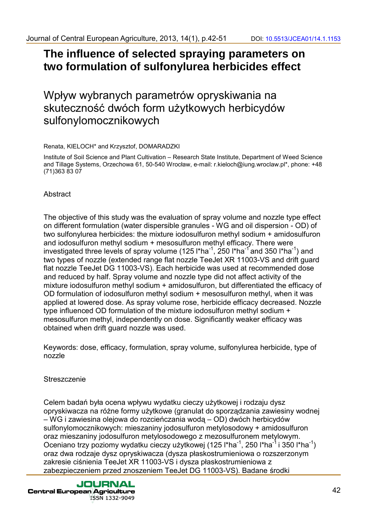## **The influence of selected spraying parameters on two formulation of sulfonylurea herbicides effect**

Wpływ wybranych parametrów opryskiwania na skuteczność dwóch form użytkowych herbicydów sulfonylomocznikowych

Renata, KIELOCH\* and Krzysztof, DOMARADZKI

Institute of Soil Science and Plant Cultivation – Research State Institute, Department of Weed Science and Tillage Systems, Orzechowa 61, 50-540 Wrocław, e-mail: r.kieloch@iung.wroclaw.pl\*, phone: +48 (71)363 83 07

## **Abstract**

The objective of this study was the evaluation of spray volume and nozzle type effect on different formulation (water dispersible granules - WG and oil dispersion - OD) of two sulfonylurea herbicides: the mixture iodosulfuron methyl sodium + amidosulfuron and iodosulfuron methyl sodium + mesosulfuron methyl efficacy. There were investigated three levels of spray volume (125 l\*ha<sup>-1</sup>, 250 l\*ha<sup>-1</sup> and 350 l\*ha<sup>-1</sup>) and two types of nozzle (extended range flat nozzle TeeJet XR 11003-VS and drift guard flat nozzle TeeJet DG 11003-VS). Each herbicide was used at recommended dose and reduced by half. Spray volume and nozzle type did not affect activity of the mixture iodosulfuron methyl sodium + amidosulfuron, but differentiated the efficacy of OD formulation of iodosulfuron methyl sodium + mesosulfuron methyl, when it was applied at lowered dose. As spray volume rose, herbicide efficacy decreased. Nozzle type influenced OD formulation of the mixture iodosulfuron methyl sodium + mesosulfuron methyl, independently on dose. Significantly weaker efficacy was obtained when drift guard nozzle was used.

Keywords: dose, efficacy, formulation, spray volume, sulfonylurea herbicide, type of nozzle

## **Streszczenie**

Celem badań była ocena wpływu wydatku cieczy użytkowej i rodzaju dysz opryskiwacza na różne formy użytkowe (granulat do sporządzania zawiesiny wodnej – WG i zawiesina olejowa do rozcieńczania wodą – OD) dwóch herbicydów sulfonylomocznikowych: mieszaniny jodosulfuron metylosodowy + amidosulfuron oraz mieszaniny jodosulfuron metylosodowego z mezosulfuronem metylowym. Oceniano trzy poziomy wydatku cieczy użytkowej (125 l\*ha<sup>-1</sup>, 250 l\*ha<sup>-1</sup> i 350 l\*ha<sup>-1</sup>) oraz dwa rodzaje dysz opryskiwacza (dysza płaskostrumieniowa o rozszerzonym zakresie ciśnienia TeeJet XR 11003-VS i dysza płaskostrumieniowa z zabezpieczeniem przed znoszeniem TeeJet DG 11003-VS). Badane środki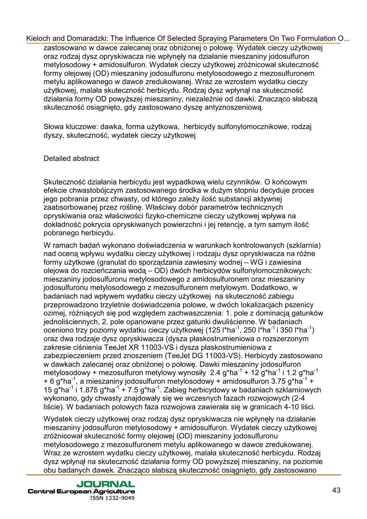zastosowano w dawce zalecanej oraz obniżonej o połowe. Wydatek cieczy użytkowej oraz rodzaj dysz opryskiwacza nie wpłynęły na działanie mieszaniny jodosulfuron metylosodowy + amidosulfuron. Wydatek cieczy użytkowej zróżnicował skuteczność formy olejowej (OD) mieszaniny jodosulfuronu metylosodowego z mezosulfuronem metylu aplikowanego w dawce zredukowanej. Wraz ze wzrostem wydatku cieczy użytkowej, malała skuteczność herbicydu. Rodzaj dysz wpłynął na skuteczność działania formy OD powyższej mieszaniny, niezależnie od dawki. Znacząco słabszą skuteczność osiągnięto, gdy zastosowano dyszę antyznoszeniową.

Słowa kluczowe: dawka, forma użytkowa, herbicydy sulfonylomocznikowe, rodzaj dyszy, skuteczność, wydatek cieczy użytkowej

## Detailed abstract

Skuteczność działania herbicydu jest wypadkową wielu czynników. O końcowym efekcie chwastobójczym zastosowanego środka w dużym stopniu decyduje proces jego pobrania przez chwasty, od którego zależy ilość substancji aktywnej zaabsorbowanej przez roślinę. Właściwy dobór parametrów technicznych opryskiwania oraz właściwości fizyko-chemiczne cieczy użytkowej wpływa na dokładność pokrycia opryskiwanych powierzchni i jej retencję, a tym samym ilość pobranego herbicydu.

W ramach badań wykonano doświadczenia w warunkach kontrolowanych (szklarnia) nad oceną wpływu wydatku cieczy użytkowej i rodzaju dysz opryskiwacza na różne formy użytkowe (granulat do sporządzania zawiesiny wodnej – WG i zawiesina olejowa do rozcieńczania wodą – OD) dwóch herbicydów sulfonylomocznikowych: mieszaniny jodosulfuronu metylosodowego z amidosulfuronem oraz mieszaniny jodosulfuronu metylosodowego z mezosulfuronem metylowym. Dodatkowo, w badaniach nad wpływem wydatku cieczy użytkowej na skuteczność zabiegu przeprowadzono trzyletnie doświadczenia polowe, w dwóch lokalizacjach pszenicy ozimej, różniących się pod względem zachwaszczenia: 1. pole z dominacją gatunków jednoliściennych, 2. pole opanowane przez gatunki dwuliścienne. W badaniach oceniono trzy poziomy wydatku cieczy użytkowej (125 l\*ha<sup>-1</sup>, 250 l\*ha<sup>-1</sup> i 350 l\*ha<sup>-1</sup>) oraz dwa rodzaje dysz opryskiwacza (dysza płaskostrumieniowa o rozszerzonym zakresie ciśnienia TeeJet XR 11003-VS i dysza płaskostrumieniowa z zabezpieczeniem przed znoszeniem (TeeJet DG 11003-VS). Herbicydy zastosowano w dawkach zalecanej oraz obniżonej o połowę. Dawki mieszaniny jodosulfuron metylosodowy + mezosulfuron metylowy wynosiły 2.4 g\*ha<sup>-1</sup> + 12 g\*ha<sup>-1</sup> i 1.2 g\*ha<sup>-1</sup> + 6 g\*ha<sup>-1</sup>, a mieszaniny jodosulfuron metylosodowy + amidosulfuron 3.75 g\*ha<sup>-1</sup> + 15 g\*ha $^{-1}$  i 1.875 g\*ha $^{-1}$  + 7.5 g\*ha $^{-1}$ . Zabieg herbicydowy w badaniach szklarniowych wykonano, gdy chwasty znajdowały się we wczesnych fazach rozwojowych (2-4 liście). W badaniach polowych faza rozwojowa zawierała się w granicach 4-10 liści.

Wydatek cieczy użytkowej oraz rodzaj dysz opryskiwacza nie wpłynęły na działanie mieszaniny jodosulfuron metylosodowy + amidosulfuron. Wydatek cieczy użytkowej zróżnicował skuteczność formy olejowej (OD) mieszaniny jodosulfuronu metylosodowego z mezosulfuronem metylu aplikowanego w dawce zredukowanej. Wraz ze wzrostem wydatku cieczy użytkowej, malała skuteczność herbicydu. Rodzaj dysz wpłynął na skuteczność działania formy OD powyższej mieszaniny, na poziomie obu badanych dawek. Znacząco słabszą skuteczność osiągnięto, gdy zastosowano

**JOURNAL Central European Agriculture** ISSN 1332-9049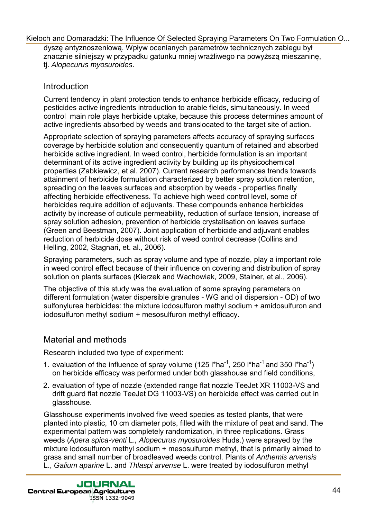dyszę antyznoszeniową. Wpływ ocenianych parametrów technicznych zabiegu był znacznie silniejszy w przypadku gatunku mniej wrażliwego na powyższą mieszaninę, tj. Alopecurus myosuroides.

## **Introduction**

Current tendency in plant protection tends to enhance herbicide efficacy, reducing of pesticides active ingredients introduction to arable fields, simultaneously. In weed control main role plays herbicide uptake, because this process determines amount of active ingredients absorbed by weeds and translocated to the target site of action.

Appropriate selection of spraying parameters affects accuracy of spraying surfaces coverage by herbicide solution and consequently quantum of retained and absorbed herbicide active ingredient. In weed control, herbicide formulation is an important determinant of its active ingredient activity by building up its physicochemical properties (Zabkiewicz, et al. 2007). Current research performances trends towards attainment of herbicide formulation characterized by better spray solution retention, spreading on the leaves surfaces and absorption by weeds - properties finally affecting herbicide effectiveness. To achieve high weed control level, some of herbicides require addition of adjuvants. These compounds enhance herbicides activity by increase of cuticule permeability, reduction of surface tension, increase of spray solution adhesion, prevention of herbicide crystalisation on leaves surface (Green and Beestman, 2007). Joint application of herbicide and adjuvant enables reduction of herbicide dose without risk of weed control decrease (Collins and Helling, 2002, Stagnari, et. al., 2006).

Spraying parameters, such as spray volume and type of nozzle, play a important role in weed control effect because of their influence on covering and distribution of spray solution on plants surfaces (Kierzek and Wachowiak, 2009, Stainer, et al., 2006).

The objective of this study was the evaluation of some spraying parameters on different formulation (water dispersible granules - WG and oil dispersion - OD) of two sulfonylurea herbicides: the mixture iodosulfuron methyl sodium + amidosulfuron and iodosulfuron methyl sodium + mesosulfuron methyl efficacy.

## Material and methods

Research included two type of experiment:

- 1. evaluation of the influence of spray volume (125 l\*ha<sup>-1</sup>, 250 l\*ha<sup>-1</sup> and 350 l\*ha<sup>-1</sup>) on herbicide efficacy was performed under both glasshouse and field conditions,
- 2. evaluation of type of nozzle (extended range flat nozzle TeeJet XR 11003-VS and drift guard flat nozzle TeeJet DG 11003-VS) on herbicide effect was carried out in glasshouse.

Glasshouse experiments involved five weed species as tested plants, that were planted into plastic, 10 cm diameter pots, filled with the mixture of peat and sand. The experimental pattern was completely randomization, in three replications. Grass weeds (Apera spica-venti L., Alopecurus myosuroides Huds.) were sprayed by the mixture iodosulfuron methyl sodium + mesosulfuron methyl, that is primarily aimed to grass and small number of broadleaved weeds control. Plants of Anthemis arvensis L., Galium aparine L. and Thlaspi arvense L. were treated by iodosulfuron methyl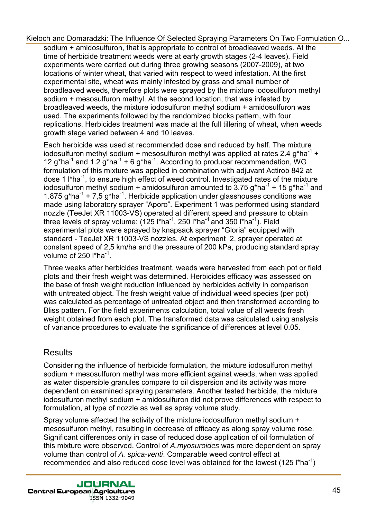sodium + amidosulfuron, that is appropriate to control of broadleaved weeds. At the time of herbicide treatment weeds were at early growth stages (2-4 leaves). Field experiments were carried out during three growing seasons (2007-2009), at two locations of winter wheat, that varied with respect to weed infestation. At the first experimental site, wheat was mainly infested by grass and small number of broadleaved weeds, therefore plots were sprayed by the mixture iodosulfuron methyl sodium + mesosulfuron methyl. At the second location, that was infested by broadleaved weeds, the mixture iodosulfuron methyl sodium + amidosulfuron was used. The experiments followed by the randomized blocks pattern, with four replications. Herbicides treatment was made at the full tillering of wheat, when weeds growth stage varied between 4 and 10 leaves.

Each herbicide was used at recommended dose and reduced by half. The mixture iodosulfuron methyl sodium + mesosulfuron methyl was applied at rates 2.4  $a^*$ ha<sup>-1</sup> + 12 g\*ha<sup>-1</sup> and 1.2 g\*ha<sup>-1</sup> + 6 g\*ha<sup>-1</sup>. According to producer recommendation, WG formulation of this mixture was applied in combination with adjuvant Actirob 842 at dose 1  $\beta$ <sup>1</sup>, to ensure high effect of weed control. Investigated rates of the mixture iodosulfuron methyl sodium + amidosulfuron amounted to  $3.75$  g\*ha<sup>-1</sup> + 15 g\*ha<sup>-1</sup> and 1.875 g\*ha<sup>-1</sup> + 7,5 g\*ha<sup>-1</sup>. Herbicide application under glasshouses conditions was made using laboratory sprayer "Aporo". Experiment 1 was performed using standard nozzle (TeeJet XR 11003-VS) operated at different speed and pressure to obtain three levels of spray volume:  $(125 \text{ l}^* \text{ha}^{-1}, 250 \text{ l}^* \text{ha}^{-1})$  and 350 l\*ha<sup>-1</sup>). Field experimental plots were sprayed by knapsack sprayer "Gloria" equipped with standard - TeeJet XR 11003-VS nozzles. At experiment 2, sprayer operated at constant speed of 2,5 km/ha and the pressure of 200 kPa, producing standard spray volume of  $250$  l\*ha<sup>-1</sup>.

Three weeks after herbicides treatment, weeds were harvested from each pot or field plots and their fresh weight was determined. Herbicides efficacy was assessed on the base of fresh weight reduction influenced by herbicides activity in comparison with untreated object. The fresh weight value of individual weed species (per pot) was calculated as percentage of untreated object and then transformed according to Bliss pattern. For the field experiments calculation, total value of all weeds fresh weight obtained from each plot. The transformed data was calculated using analysis of variance procedures to evaluate the significance of differences at level 0.05.

## **Results**

Considering the influence of herbicide formulation, the mixture iodosulfuron methyl sodium + mesosulfuron methyl was more efficient against weeds, when was applied as water dispersible granules compare to oil dispersion and its activity was more dependent on examined spraying parameters. Another tested herbicide, the mixture iodosulfuron methyl sodium + amidosulfuron did not prove differences with respect to formulation, at type of nozzle as well as spray volume study.

Spray volume affected the activity of the mixture iodosulfuron methyl sodium + mesosulfuron methyl, resulting in decrease of efficacy as along spray volume rose. Significant differences only in case of reduced dose application of oil formulation of this mixture were observed. Control of A.myosuroides was more dependent on spray volume than control of A. spica-venti. Comparable weed control effect at recommended and also reduced dose level was obtained for the lowest (125  $\text{I}^*$ ha<sup>-1</sup>)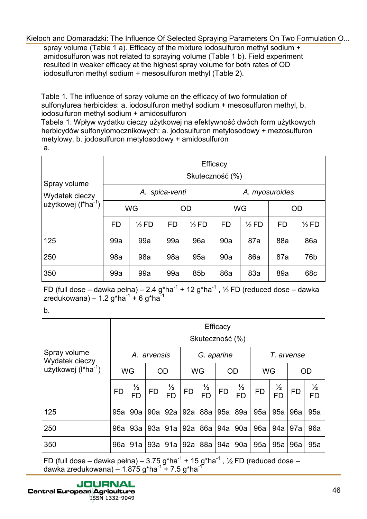spray volume (Table 1 a). Efficacy of the mixture iodosulfuron methyl sodium + amidosulfuron was not related to spraying volume (Table 1 b). Field experiment resulted in weaker efficacy at the highest spray volume for both rates of OD iodosulfuron methyl sodium + mesosulfuron methyl (Table 2).

Table 1. The influence of spray volume on the efficacy of two formulation of sulfonylurea herbicides: a. iodosulfuron methyl sodium + mesosulfuron methyl, b. iodosulfuron methyl sodium + amidosulfuron

Tabela 1. Wpływ wydatku cieczy użytkowej na efektywność dwóch form użytkowych herbicydów sulfonylomocznikowych: a. jodosulfuron metylosodowy + mezosulfuron metylowy, b. jodosulfuron metylosodowy + amidosulfuron a.

| Spray volume<br>Wydatek cieczy<br>użytkowej ( $\text{I}^*$ ha <sup>-1</sup> ) | Efficacy<br>Skuteczność (%) |                  |             |                  |                |                  |           |                  |  |  |  |
|-------------------------------------------------------------------------------|-----------------------------|------------------|-------------|------------------|----------------|------------------|-----------|------------------|--|--|--|
|                                                                               |                             | А.               | spica-venti |                  | A. myosuroides |                  |           |                  |  |  |  |
|                                                                               |                             | WG               |             | OD               | <b>WG</b>      |                  | <b>OD</b> |                  |  |  |  |
|                                                                               | <b>FD</b>                   | $\frac{1}{2}$ FD | FD          | $\frac{1}{2}$ FD | <b>FD</b>      | $\frac{1}{2}$ FD | FD        | $\frac{1}{2}$ FD |  |  |  |
| 125                                                                           | 99a                         | 99a              | 99a         | 96a              | 90a            | 87a              | 88a       | 86a              |  |  |  |
| 250                                                                           | 98a                         | 98a              | 98a         | 95a              | 90a            | 86a              | 87a       | 76b              |  |  |  |
| 350                                                                           | 99a                         | 99a              | 99a         | 85 <sub>b</sub>  | 86a            | 83a              | 89a       | 68 <sub>c</sub>  |  |  |  |

FD (full dose – dawka pełna) – 2.4 g\*ha<sup>-1</sup> + 12 g\*ha<sup>-1</sup>, ½ FD (reduced dose – dawka zredukowana) – 1.2 g\*ha<sup>-1</sup> + 6 g\*ha<sup>-1</sup>

b.

| Spray volume<br>Wydatek cieczy<br>użytkowej $(l^*ha^{-1})$ | Efficacy<br>Skuteczność (%) |                            |           |                            |            |                            |           |                            |            |                |           |                            |
|------------------------------------------------------------|-----------------------------|----------------------------|-----------|----------------------------|------------|----------------------------|-----------|----------------------------|------------|----------------|-----------|----------------------------|
|                                                            | A. arvensis                 |                            |           |                            | G. aparine |                            |           |                            | T. arvense |                |           |                            |
|                                                            | WG                          |                            | <b>OD</b> |                            | <b>WG</b>  |                            | <b>OD</b> |                            | WG         |                | <b>OD</b> |                            |
|                                                            | <b>FD</b>                   | $\frac{1}{2}$<br><b>FD</b> | <b>FD</b> | $\frac{1}{2}$<br><b>FD</b> | <b>FD</b>  | $\frac{1}{2}$<br><b>FD</b> | <b>FD</b> | $\frac{1}{2}$<br><b>FD</b> | <b>FD</b>  | ½<br><b>FD</b> | <b>FD</b> | $\frac{1}{2}$<br><b>FD</b> |
| 125                                                        | 95a                         | 90a                        | 90a       | 92a                        | 92a        | 88a                        | 95a       | 89a                        | 95a        | 95a            | 96a       | 95a                        |
| 250                                                        | 96a                         | 93a                        | 93a       | 91a                        | 92a        | 86a                        | 94a       | 90a                        | 96a        | 94a            | 97a       | 96a                        |
| 350                                                        | 96a                         | 91a                        | 93a       | 91a                        | 92a        | 88a                        | 94a       | 90a                        | 95a        | 95a            | 96a       | 95a                        |

FD (full dose – dawka pełna) – 3.75 g\*ha<sup>-1</sup> + 15 g\*ha<sup>-1</sup>, ½ FD (reduced dose – dawka zredukowana) – 1.875 g\*ha<sup>-1</sup> + 7.5 g\*ha<sup>-1</sup>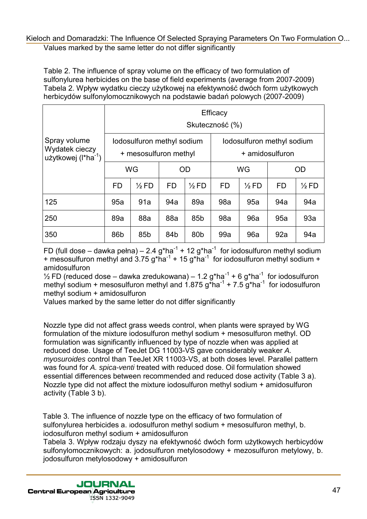#### Values marked by the same letter do not differ significantly [Kieloch and Domaradzki: The Influence Of Selected Spraying Parameters On Two Formulation O...](http://jcea.agr.hr/volumes.php?search=Article%3A1153)

Table 2. The influence of spray volume on the efficacy of two formulation of sulfonylurea herbicides on the base of field experiments (average from 2007-2009) Tabela 2. Wpływ wydatku cieczy użytkowej na efektywność dwóch form użytkowych herbicydów sulfonylomocznikowych na podstawie badań polowych (2007-2009)

| Spray volume<br>Wydatek cieczy<br>użytkowej (I*ha <sup>-1</sup> ) | Efficacy<br>Skuteczność (%) |                                                     |           |                  |                                               |                  |           |                  |  |  |
|-------------------------------------------------------------------|-----------------------------|-----------------------------------------------------|-----------|------------------|-----------------------------------------------|------------------|-----------|------------------|--|--|
|                                                                   |                             | lodosulfuron methyl sodium<br>+ mesosulfuron methyl |           |                  | lodosulfuron methyl sodium<br>+ amidosulfuron |                  |           |                  |  |  |
|                                                                   |                             | WG                                                  |           | <b>OD</b>        |                                               | WG               | <b>OD</b> |                  |  |  |
|                                                                   | <b>FD</b>                   | $\frac{1}{2}$ FD                                    | <b>FD</b> | $\frac{1}{2}$ FD | <b>FD</b>                                     | $\frac{1}{2}$ FD | <b>FD</b> | $\frac{1}{2}$ FD |  |  |
| 125                                                               | 95a                         | 91a                                                 | 94a       | 89a              | 98a                                           | 95a              | 94a       | 94a              |  |  |
| 250                                                               | 89a                         | 88a                                                 | 88a       | 85 <sub>b</sub>  | 98a                                           | 96a              | 95a       | 93a              |  |  |
| 350                                                               | 86 <sub>b</sub>             | 85b                                                 | 84b       | 80 <sub>b</sub>  | 99a                                           | 96a              | 92a       | 94a              |  |  |

FD (full dose – dawka pełna) – 2.4 g\*ha<sup>-1</sup> + 12 g\*ha<sup>-1</sup> for iodosulfuron methyl sodium + mesosulfuron methyl and  $3.75$  g\*ha<sup>-1</sup> + 15 g\*ha<sup>-1</sup> for iodosulfuron methyl sodium + amidosulfuron

 $\frac{1}{2}$  FD (reduced dose – dawka zredukowana) – 1.2 g\*ha<sup>-1</sup> + 6 g\*ha<sup>-1</sup> for iodosulfuron methyl sodium + mesosulfuron methyl and  $1.875$  g\*ha<sup>-1</sup> + 7.5 g\*ha<sup>-1</sup> for iodosulfuron methyl sodium + amidosulfuron

Values marked by the same letter do not differ significantly

Nozzle type did not affect grass weeds control, when plants were sprayed by WG formulation of the mixture iodosulfuron methyl sodium + mesosulfuron methyl. OD formulation was significantly influenced by type of nozzle when was applied at reduced dose. Usage of TeeJet DG 11003-VS gave considerably weaker A. myosuroides control than TeeJet XR 11003-VS, at both doses level. Parallel pattern was found for A. spica-venti treated with reduced dose. Oil formulation showed essential differences between recommended and reduced dose activity (Table 3 a). Nozzle type did not affect the mixture iodosulfuron methyl sodium + amidosulfuron activity (Table 3 b).

Table 3. The influence of nozzle type on the efficacy of two formulation of sulfonylurea herbicides a. iodosulfuron methyl sodium + mesosulfuron methyl, b. iodosulfuron methyl sodium + amidosulfuron

Tabela 3. Wpływ rodzaju dyszy na efektywność dwóch form użytkowych herbicydów sulfonylomocznikowych: a. jodosulfuron metylosodowy + mezosulfuron metylowy, b. jodosulfuron metylosodowy + amidosulfuron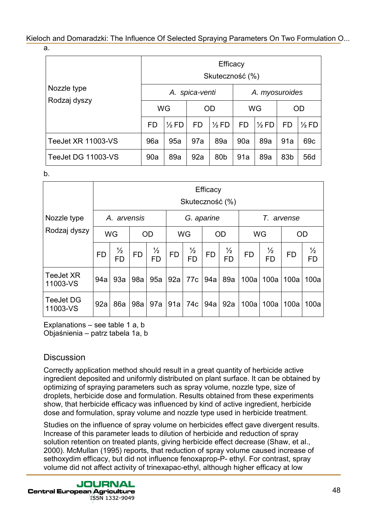a.

|                    | Efficacy<br>Skuteczność (%) |                  |                |                  |                |                  |     |                  |  |  |
|--------------------|-----------------------------|------------------|----------------|------------------|----------------|------------------|-----|------------------|--|--|
| Nozzle type        |                             |                  | A. spica-venti |                  | A. myosuroides |                  |     |                  |  |  |
| Rodzaj dyszy       | WG                          |                  | OD             |                  | <b>WG</b>      |                  | OD  |                  |  |  |
|                    | FD                          | $\frac{1}{2}$ FD | <b>FD</b>      | $\frac{1}{2}$ FD | FD             | $\frac{1}{2}$ FD | FD  | $\frac{1}{2}$ FD |  |  |
| TeeJet XR 11003-VS | 96a                         | 95a              | 97a            | 89a              | 90a            | 89a              | 91a | 69 <sub>c</sub>  |  |  |
| TeeJet DG 11003-VS | 90a                         | 89a              | 92a            | 80 <sub>b</sub>  | 91a            | 89a              | 83b | 56d              |  |  |

b.

|                              | Efficacy<br>Skuteczność (%) |                            |           |                            |            |                            |           |                            |            |                            |           |                            |
|------------------------------|-----------------------------|----------------------------|-----------|----------------------------|------------|----------------------------|-----------|----------------------------|------------|----------------------------|-----------|----------------------------|
| Nozzle type                  | A. arvensis                 |                            |           |                            | G. aparine |                            |           |                            | T. arvense |                            |           |                            |
| Rodzaj dyszy                 | <b>WG</b>                   |                            | <b>OD</b> |                            | WG         |                            | <b>OD</b> |                            | WG         |                            | <b>OD</b> |                            |
|                              | <b>FD</b>                   | $\frac{1}{2}$<br><b>FD</b> | <b>FD</b> | $\frac{1}{2}$<br><b>FD</b> | <b>FD</b>  | $\frac{1}{2}$<br><b>FD</b> | <b>FD</b> | $\frac{1}{2}$<br><b>FD</b> | <b>FD</b>  | $\frac{1}{2}$<br><b>FD</b> | <b>FD</b> | $\frac{1}{2}$<br><b>FD</b> |
| <b>TeeJet XR</b><br>11003-VS | 94a                         | 93a                        | 98a       | 95a                        | 92a        | 77c                        | 94a       | 89a                        | 100a       | 100a                       | 100a      | 100a                       |
| <b>TeeJet DG</b><br>11003-VS | 92a                         | 86a                        | 98a       | 97a                        | 91a        | 74c                        | 94a       | 92a                        | 100a       | 100a                       | 100a      | 100a                       |

Explanations – see table 1 a, b Objaśnienia – patrz tabela 1a, b

## **Discussion**

Correctly application method should result in a great quantity of herbicide active ingredient deposited and uniformly distributed on plant surface. It can be obtained by optimizing of spraying parameters such as spray volume, nozzle type, size of droplets, herbicide dose and formulation. Results obtained from these experiments show, that herbicide efficacy was influenced by kind of active ingredient, herbicide dose and formulation, spray volume and nozzle type used in herbicide treatment.

Studies on the influence of spray volume on herbicides effect gave divergent results. Increase of this parameter leads to dilution of herbicide and reduction of spray solution retention on treated plants, giving herbicide effect decrease (Shaw, et al., 2000). McMullan (1995) reports, that reduction of spray volume caused increase of sethoxydim efficacy, but did not influence fenoxaprop-P- ethyl. For contrast, spray volume did not affect activity of trinexapac-ethyl, although higher efficacy at low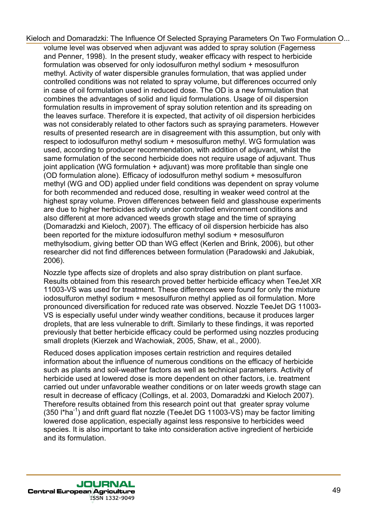volume level was observed when adjuvant was added to spray solution (Fagerness and Penner, 1998). In the present study, weaker efficacy with respect to herbicide formulation was observed for only iodosulfuron methyl sodium + mesosulfuron methyl. Activity of water dispersible granules formulation, that was applied under controlled conditions was not related to spray volume, but differences occurred only in case of oil formulation used in reduced dose. The OD is a new formulation that combines the advantages of solid and liquid formulations. Usage of oil dispersion formulation results in improvement of spray solution retention and its spreading on the leaves surface. Therefore it is expected, that activity of oil dispersion herbicides was not considerably related to other factors such as spraying parameters. However results of presented research are in disagreement with this assumption, but only with respect to iodosulfuron methyl sodium + mesosulfuron methyl. WG formulation was used, according to producer recommendation, with addition of adjuvant, whilst the same formulation of the second herbicide does not require usage of adjuvant. Thus joint application (WG formulation + adjuvant) was more profitable than single one (OD formulation alone). Efficacy of iodosulfuron methyl sodium + mesosulfuron methyl (WG and OD) applied under field conditions was dependent on spray volume for both recommended and reduced dose, resulting in weaker weed control at the highest spray volume. Proven differences between field and glasshouse experiments are due to higher herbicides activity under controlled environment conditions and also different at more advanced weeds growth stage and the time of spraying (Domaradzki and Kieloch, 2007). The efficacy of oil dispersion herbicide has also been reported for the mixture iodosulfuron methyl sodium + mesosulfuron methylsodium, giving better OD than WG effect (Kerlen and Brink, 2006), but other researcher did not find differences between formulation (Paradowski and Jakubiak, 2006).

Nozzle type affects size of droplets and also spray distribution on plant surface. Results obtained from this research proved better herbicide efficacy when TeeJet XR 11003-VS was used for treatment. These differences were found for only the mixture iodosulfuron methyl sodium + mesosulfuron methyl applied as oil formulation. More pronounced diversification for reduced rate was observed. Nozzle TeeJet DG 11003- VS is especially useful under windy weather conditions, because it produces larger droplets, that are less vulnerable to drift. Similarly to these findings, it was reported previously that better herbicide efficacy could be performed using nozzles producing small droplets (Kierzek and Wachowiak, 2005, Shaw, et al., 2000).

Reduced doses application imposes certain restriction and requires detailed information about the influence of numerous conditions on the efficacy of herbicide such as plants and soil-weather factors as well as technical parameters. Activity of herbicide used at lowered dose is more dependent on other factors, i.e. treatment carried out under unfavorable weather conditions or on later weeds growth stage can result in decrease of efficacy (Collings, et al. 2003, Domaradzki and Kieloch 2007). Therefore results obtained from this research point out that greater spray volume  $(350 \text{ l*ha}^{-1})$  and drift guard flat nozzle (TeeJet DG 11003-VS) may be factor limiting lowered dose application, especially against less responsive to herbicides weed species. It is also important to take into consideration active ingredient of herbicide and its formulation.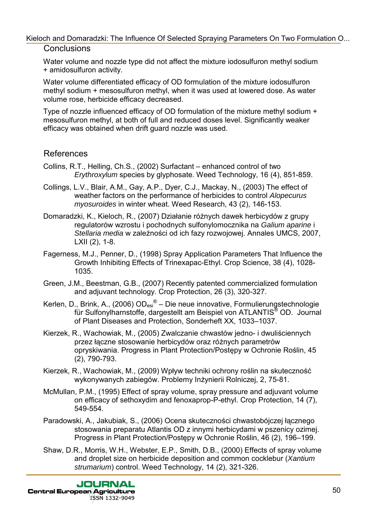## **Conclusions**

Water volume and nozzle type did not affect the mixture iodosulfuron methyl sodium + amidosulfuron activity.

Water volume differentiated efficacy of OD formulation of the mixture iodosulfuron methyl sodium + mesosulfuron methyl, when it was used at lowered dose. As water volume rose, herbicide efficacy decreased.

Type of nozzle influenced efficacy of OD formulation of the mixture methyl sodium + mesosulfuron methyl, at both of full and reduced doses level. Significantly weaker efficacy was obtained when drift guard nozzle was used.

## References

- Collins, R.T., Helling, Ch.S., (2002) Surfactant enhanced control of two Erythroxylum species by glyphosate. Weed Technology, 16 (4), 851-859.
- Collings, L.V., Blair, A.M., Gay, A.P., Dyer, C.J., Mackay, N., (2003) The effect of weather factors on the performance of herbicides to control Alopecurus myosuroides in winter wheat. Weed Research, 43 (2), 146-153.
- Domaradzki, K., Kieloch, R., (2007) Działanie różnych dawek herbicydów z grupy regulatorów wzrostu i pochodnych sulfonylomocznika na Galium aparine i Stellaria media w zależności od ich fazy rozwojowej. Annales UMCS, 2007, LXII (2), 1-8.
- Fagerness, M.J., Penner, D., (1998) Spray Application Parameters That Influence the Growth Inhibiting Effects of Trinexapac-Ethyl. Crop Science, 38 (4), 1028- 1035.
- Green, J.M., Beestman, G.B., (2007) Recently patented commercialized formulation and adjuvant technology. Crop Protection, 26 (3), 320-327.
- Kerlen, D., Brink, A., (2006) OD<sub>esi</sub>® Die neue innovative, Formulierungstechnologie für Sulfonylharnstoffe, dargestellt am Beispiel von ATLANTIS<sup>®</sup> OD. Journal of Plant Diseases and Protection, Sonderheft XX, 1033–1037.
- Kierzek, R., Wachowiak, M., (2005) Zwalczanie chwastów jedno- i dwuliściennych przez łączne stosowanie herbicydów oraz różnych parametrów opryskiwania. Progress in Plant Protection/Postępy w Ochronie Roślin, 45 (2), 790-793.
- Kierzek, R., Wachowiak, M., (2009) Wpływ techniki ochrony roślin na skuteczność wykonywanych zabiegów. Problemy Inżynierii Rolniczej, 2, 75-81.
- McMullan, P.M., (1995) Effect of spray volume, spray pressure and adjuvant volume on efficacy of sethoxydim and fenoxaprop-P-ethyl. Crop Protection, 14 (7), 549-554.
- Paradowski, A., Jakubiak, S., (2006) Ocena skuteczności chwastobójczej łącznego stosowania preparatu Atlantis OD z innymi herbicydami w pszenicy ozimej. Progress in Plant Protection/Postępy w Ochronie Roślin, 46 (2), 196–199.
- Shaw, D.R., Morris, W.H., Webster, E.P., Smith, D.B., (2000) Effects of spray volume and droplet size on herbicide deposition and common cocklebur (Xantium strumarium) control. Weed Technology, 14 (2), 321-326.